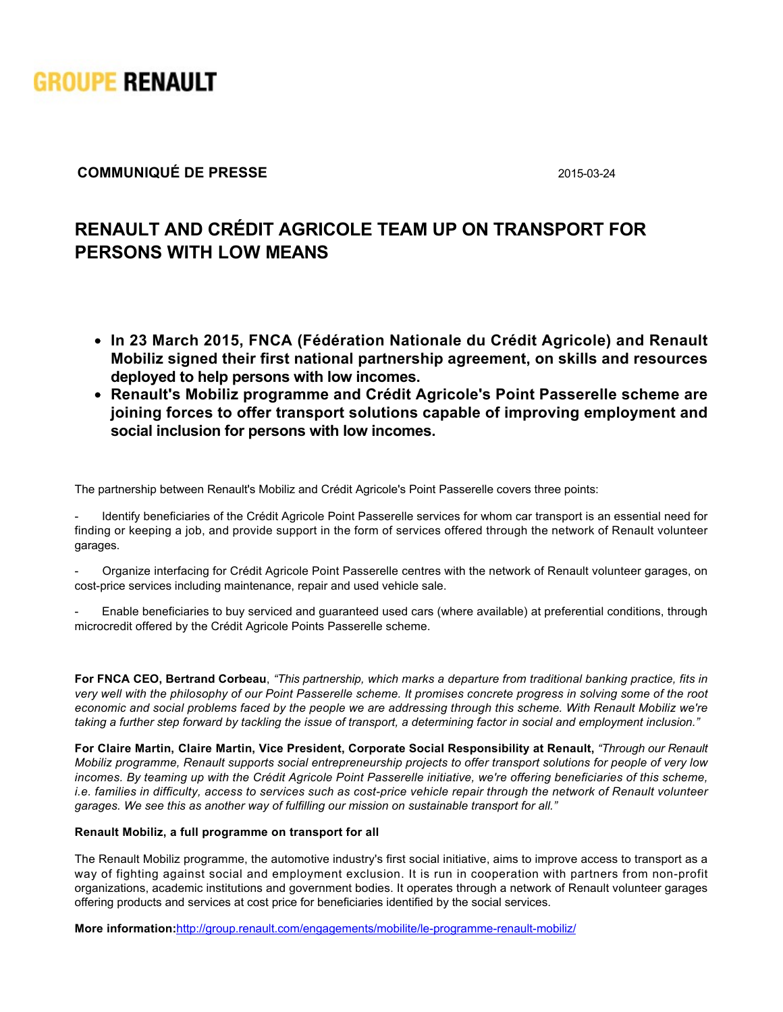

# **COMMUNIQUÉ DE PRESSE** 2015-03-24

# **RENAULT AND CRÉDIT AGRICOLE TEAM UP ON TRANSPORT FOR PERSONS WITH LOW MEANS**

- **In 23 March 2015, FNCA (Fédération Nationale du Crédit Agricole) and Renault Mobiliz signed their first national partnership agreement, on skills and resources deployed to help persons with low incomes.**
- **Renault's Mobiliz programme and Crédit Agricole's Point Passerelle scheme are joining forces to offer transport solutions capable of improving employment and social inclusion for persons with low incomes.**

The partnership between Renault's Mobiliz and Crédit Agricole's Point Passerelle covers three points:

 Identify beneficiaries of the Crédit Agricole Point Passerelle services for whom car transport is an essential need for finding or keeping a job, and provide support in the form of services offered through the network of Renault volunteer garages.

 Organize interfacing for Crédit Agricole Point Passerelle centres with the network of Renault volunteer garages, on cost-price services including maintenance, repair and used vehicle sale.

 Enable beneficiaries to buy serviced and guaranteed used cars (where available) at preferential conditions, through microcredit offered by the Crédit Agricole Points Passerelle scheme.

**For FNCA CEO, Bertrand Corbeau**, *"This partnership, which marks a departure from traditional banking practice, fits in very well with the philosophy of our Point Passerelle scheme. It promises concrete progress in solving some of the root economic and social problems faced by the people we are addressing through this scheme. With Renault Mobiliz we're taking a further step forward by tackling the issue of transport, a determining factor in social and employment inclusion."*

For Claire Martin, Claire Martin, Vice President, Corporate Social Responsibility at Renault, *"Through our Renault Mobiliz programme, Renault supports social entrepreneurship projects to offer transport solutions for people of very low incomes. By teaming up with the Crédit Agricole Point Passerelle initiative, we're offering beneficiaries of this scheme, i.e. families in difficulty, access to services such as cost-price vehicle repair through the network of Renault volunteer garages. We see this as another way of fulfilling our mission on sustainable transport for all."*

## **Renault Mobiliz, a full programme on transport for all**

The Renault Mobiliz programme, the automotive industry's first social initiative, aims to improve access to transport as a way of fighting against social and employment exclusion. It is run in cooperation with partners from non-profit organizations, academic institutions and government bodies. It operates through a network of Renault volunteer garages offering products and services at cost price for beneficiaries identified by the social services.

**More information:**http://group.renault.com/engagements/mobilite/le-programme-renault-mobiliz/